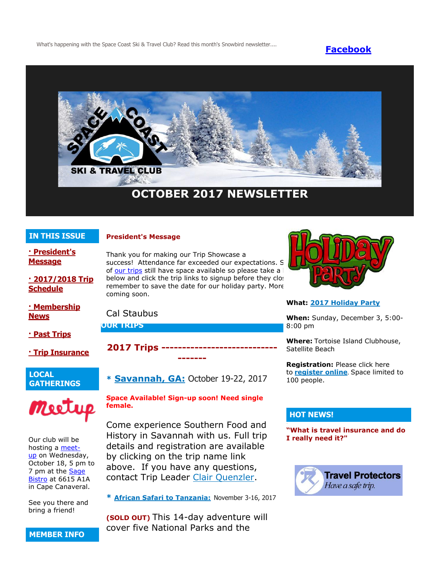What's happening with the Space Coast Ski & Travel Club? Read this month's Snowbird newsletter.... **[Facebook](https://www.facebook.com/pages/Space-Coast-Ski-Club/137991863341)** 



# **OCTOBER 2017 NEWSLETTER**

# **IN THIS ISSUE**

## **President's Message**

**[· President's](http://spacecoastskiclub.com/Admin/Settings/Emails/EmailContentProvider.aspx?emailId=63512993#anchor1)  [Message](http://spacecoastskiclub.com/Admin/Settings/Emails/EmailContentProvider.aspx?emailId=63512993#anchor1)**

**[· 2017/2018 Trip](http://spacecoastskiclub.com/Admin/Settings/Emails/EmailContentProvider.aspx?emailId=63512993#anchor2)  [Schedule](http://spacecoastskiclub.com/Admin/Settings/Emails/EmailContentProvider.aspx?emailId=63512993#anchor2)** 

**[· Membership](http://spacecoastskiclub.com/Admin/Settings/Emails/EmailContentProvider.aspx?emailId=63512993#anchor3)  [News](http://spacecoastskiclub.com/Admin/Settings/Emails/EmailContentProvider.aspx?emailId=63512993#anchor3)**

**[· Past Trips](http://spacecoastskiclub.com/Admin/Settings/Emails/EmailContentProvider.aspx?emailId=63512993#anchor4)**

**[· Trip Insurance](http://spacecoastskiclub.com/Admin/Settings/Emails/EmailContentProvider.aspx?emailId=63512993#anchor3)**

# **LOCAL GATHERINGS**



Our club will be hosting a [meet](https://www.meetup.com/Space-Coast-Ski-Club/)[up](https://www.meetup.com/Space-Coast-Ski-Club/) on Wednesday, October 18, 5 pm to 7 pm at the [Sage](http://sagebistroflorida.com/)  [Bistro](http://sagebistroflorida.com/) at 6615 A1A in Cape Canaveral.

See you there and bring a friend!

Thank you for making our Trip Showcase a success! Attendance far exceeded our expectations. S of [our trips](http://spacecoastskiclub.com/OurTrips) still have space available so please take a  $\mathsf I$ below and click the trip links to signup before they close. remember to save the date for our holiday party. More coming soon.

Cal Staubus

**OUR TRIPS**

**2017 Trips --**

**\* [Savannah, GA:](http://spacecoastskiclub.com/event-2552665)** October 19-22, 2017

**-------**

# **Space Available! Sign-up soon! Need single female.**

Come experience Southern Food and History in Savannah with us. Full trip details and registration are available by clicking on the trip name link above. If you have any questions, contact Trip Leader [Clair Quenzler.](mailto:clairqski@aol.com)

**\* [African Safari to Tanzania:](http://spacecoastskiclub.com/event-2313660)** November 3-16, 2017

**(SOLD OUT)** This 14-day adventure will cover five National Parks and the



# **What: [2017 Holiday Party](http://spacecoastskiclub.com/event-2670219)**

**When:** Sunday, December 3, 5:00- 8:00 pm

**Where:** Tortoise Island Clubhouse, Satellite Beach

**Registration:** Please click here to **[register online](http://spacecoastskiclub.com/event-2670219)**. Space limited to 100 people.

# **HOT NEWS!**

**"What is travel insurance and do I really need it?"**



**MEMBER INFO**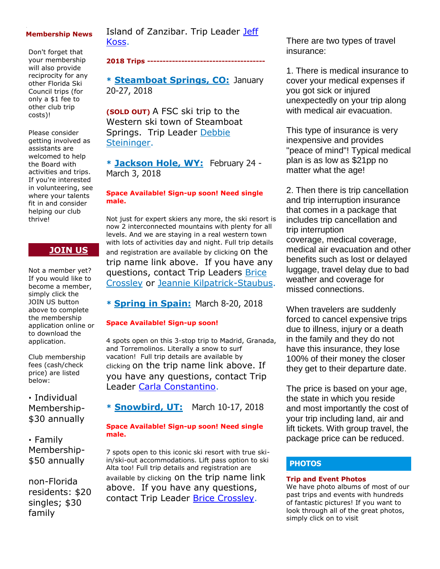#### **Membership News**

Don't forget that your membership will also provide reciprocity for any other Florida Ski Council trips (for only a \$1 fee to other club trip costs)!

Please consider getting involved as assistants are welcomed to help the Board with activities and trips. If you're interested in volunteering, see where your talents fit in and consider helping our club thrive!

# **[JOIN US](http://spacecoastskiclub.com/Join)**

Not a member yet? If you would like to become a member, simply click the JOIN US button above to complete the membership application online or to download the application.

Club membership fees (cash/check price) are listed below:

**·** Individual Membership- \$30 annually

**·** Family Membership- \$50 annually

non-Florida residents: \$20 singles; \$30 family

Island of Zanzibar. Trip Leader Jeff [Koss.](mailto:kaoshome@earthlink.net)

#### **2018 Trips --------------------------------------**

**\* [Steamboat Springs, CO:](http://spacecoastskiclub.com/event-2594526)** January 20-27, 2018

**(SOLD OUT)** A FSC ski trip to the Western ski town of Steamboat Springs. Trip Leader [Debbie](mailto:dsteininger@cfl.rr.com)  [Steininger.](mailto:dsteininger@cfl.rr.com)

**\* [Jackson Hole, WY:](http://spacecoastskiclub.com/event-2579402)** February 24 - March 3, 2018

#### **Space Available! Sign-up soon! Need single male.**

Not just for expert skiers any more, the ski resort is now 2 interconnected mountains with plenty for all levels. And we are staying in a real western town with lots of activities day and night. Full trip details and registration are available by clicking ON the trip name link above. If you have any questions, contact Trip Leaders [Brice](mailto:Brice@spacecoastskiclub.com)  [Crossley](mailto:Brice@spacecoastskiclub.com) or [Jeannie Kilpatrick-Staubus.](mailto:Jeannie@spacecoastskiclub.com)

**\* [Spring in Spain:](http://spacecoastskiclub.com/event-2577968)** March 8-20, 2018

#### **Space Available! Sign-up soon!**

4 spots open on this 3-stop trip to Madrid, Granada, and Torremolinos. Literally a snow to surf vacation! Full trip details are available by clicking on the trip name link above. If you have any questions, contact Trip Leader [Carla Constantino.](mailto:Carla@SpaceCoastSkiClub.com)

**\* [Snowbird, UT:](http://spacecoastskiclub.com/event-2620390)** March 10-17, 2018

#### **Space Available! Sign-up soon! Need single male.**

7 spots open to this iconic ski resort with true skiin/ski-out accommodations. Lift pass option to ski Alta too! Full trip details and registration are available by clicking on the trip name link above. If you have any questions, contact Trip Leader [Brice Crossley.](mailto:Brice@spacecoastskiclub.com)

There are two types of travel insurance:

1. There is medical insurance to cover your medical expenses if you got sick or injured unexpectedly on your trip along with medical air evacuation.

This type of insurance is very inexpensive and provides "peace of mind"! Typical medical plan is as low as \$21pp no matter what the age!

2. Then there is trip cancellation and trip interruption insurance that comes in a package that includes trip cancellation and trip interruption coverage, medical coverage, medical air evacuation and other benefits such as lost or delayed luggage, travel delay due to bad weather and coverage for missed connections.

When travelers are suddenly forced to cancel expensive trips due to illness, injury or a death in the family and they do not have this insurance, they lose 100% of their money the closer they get to their departure date.

The price is based on your age, the state in which you reside and most importantly the cost of your trip including land, air and lift tickets. With group travel, the package price can be reduced.

# **PHOTOS**

#### **Trip and Event Photos**

We have photo albums of most of our past trips and events with hundreds of fantastic pictures! If you want to look through all of the great photos, simply click on to visit